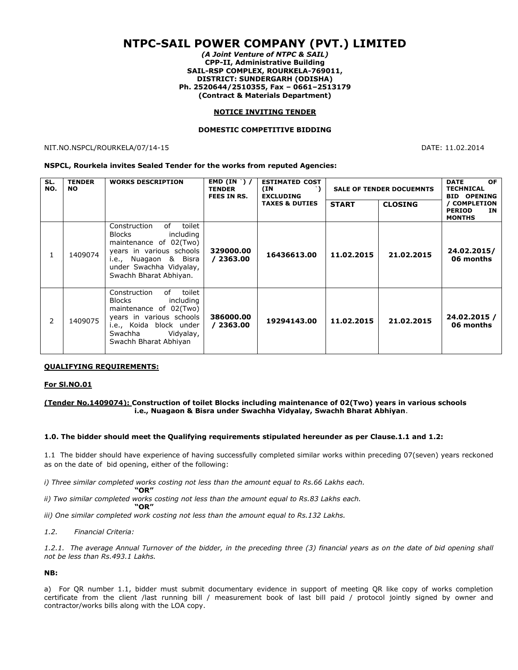# **NTPC-SAIL POWER COMPANY (PVT.) LIMITED**

*(A Joint Venture of NTPC & SAIL)* **CPP-II, Administrative Building SAIL-RSP COMPLEX, ROURKELA-769011, DISTRICT: SUNDERGARH (ODISHA) Ph. 2520644/2510355, Fax – 0661–2513179 (Contract & Materials Department)**

#### **NOTICE INVITING TENDER**

#### **DOMESTIC COMPETITIVE BIDDING**

NIT.NO.NSPCL/ROURKELA/07/14-15 DATE: 11.02.2014

#### **NSPCL, Rourkela invites Sealed Tender for the works from reputed Agencies:**

| SL.<br>NO. | <b>TENDER</b><br>NO. | <b>WORKS DESCRIPTION</b>                                                                                                                                                                       | EMD $(IN')/$<br><b>TENDER</b><br><b>FEES IN RS.</b> | <b>ESTIMATED COST</b><br>(IN<br><b>EXCLUDING</b><br><b>TAXES &amp; DUTIES</b> | <b>SALE OF TENDER DOCUEMNTS</b> |                | <b>OF</b><br><b>DATE</b><br><b>TECHNICAL</b><br><b>BID OPENING</b> |
|------------|----------------------|------------------------------------------------------------------------------------------------------------------------------------------------------------------------------------------------|-----------------------------------------------------|-------------------------------------------------------------------------------|---------------------------------|----------------|--------------------------------------------------------------------|
|            |                      |                                                                                                                                                                                                |                                                     |                                                                               | <b>START</b>                    | <b>CLOSING</b> | / COMPLETION<br><b>PERIOD</b><br>IN<br><b>MONTHS</b>               |
| 1.         | 1409074              | toilet<br>of<br>Construction<br><b>Blocks</b><br>including<br>maintenance of 02(Two)<br>years in various schools<br>i.e., Nuagaon & Bisra<br>under Swachha Vidyalay,<br>Swachh Bharat Abhiyan. | 329000.00<br>/2363.00                               | 16436613.00                                                                   | 11.02.2015                      | 21.02.2015     | 24.02.2015/<br>06 months                                           |
| 2          | 1409075              | of<br>toilet<br>Construction<br><b>Blocks</b><br>including<br>maintenance of 02(Two)<br>years in various schools<br>i.e., Koida block under<br>Vidyalay,<br>Swachha<br>Swachh Bharat Abhiyan   | 386000.00<br>/2363.00                               | 19294143.00                                                                   | 11.02.2015                      | 21.02.2015     | 24.02.2015 /<br>06 months                                          |

## **QUALIFYING REQUIREMENTS:**

#### **For Sl.NO.01**

## **(Tender No.1409074): Construction of toilet Blocks including maintenance of 02(Two) years in various schools i.e., Nuagaon & Bisra under Swachha Vidyalay, Swachh Bharat Abhiyan**.

#### **1.0. The bidder should meet the Qualifying requirements stipulated hereunder as per Clause.1.1 and 1.2:**

1.1 The bidder should have experience of having successfully completed similar works within preceding 07(seven) years reckoned as on the date of bid opening, either of the following:

*i) Three similar completed works costing not less than the amount equal to Rs.66 Lakhs each.* 

*ii)* Two similar completed works costing not less than the amount equal to Rs.83 Lakhs each.

**"OR"** *iii) One similar completed work costing not less than the amount equal to Rs.132 Lakhs.*

**"OR"**

*1.2. Financial Criteria:*

*1.2.1. The average Annual Turnover of the bidder, in the preceding three (3) financial years as on the date of bid opening shall not be less than Rs.493.1 Lakhs.*

### **NB:**

a) For QR number 1.1, bidder must submit documentary evidence in support of meeting QR like copy of works completion certificate from the client /last running bill / measurement book of last bill paid / protocol jointly signed by owner and contractor/works bills along with the LOA copy.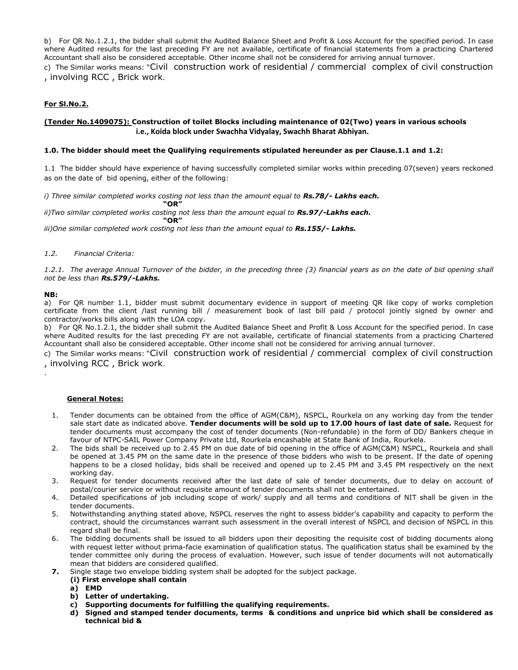b) For QR No.1.2.1, the bidder shall submit the Audited Balance Sheet and Profit & Loss Account for the specified period. In case where Audited results for the last preceding FY are not available, certificate of financial statements from a practicing Chartered Accountant shall also be considered acceptable. Other income shall not be considered for arriving annual turnover. c) The Similar works means: "Civil construction work of residential / commercial complex of civil construction , involving RCC , Brick work.

# **For Sl.No.2.**

# **(Tender No.1409075): Construction of toilet Blocks including maintenance of 02(Two) years in various schools i.e., Koida block under Swachha Vidyalay, Swachh Bharat Abhiyan.**

## **1.0. The bidder should meet the Qualifying requirements stipulated hereunder as per Clause.1.1 and 1.2:**

1.1 The bidder should have experience of having successfully completed similar works within preceding 07(seven) years reckoned as on the date of bid opening, either of the following:

*i) Three similar completed works costing not less than the amount equal to Rs.78/- Lakhs each.* 

**"OR"**

*ii)Two similar completed works costing not less than the amount equal to Rs.97/-Lakhs each.* 

**"OR"**

*iii)One similar completed work costing not less than the amount equal to Rs.155/- Lakhs.*

## *1.2. Financial Criteria:*

1.2.1. The average Annual Turnover of the bidder, in the preceding three (3) financial years as on the date of bid opening shall *not be less than Rs.579/-Lakhs.*

#### **NB:**

.

a) For QR number 1.1, bidder must submit documentary evidence in support of meeting QR like copy of works completion certificate from the client /last running bill / measurement book of last bill paid / protocol jointly signed by owner and contractor/works bills along with the LOA copy.

b) For QR No.1.2.1, the bidder shall submit the Audited Balance Sheet and Profit & Loss Account for the specified period. In case where Audited results for the last preceding FY are not available, certificate of financial statements from a practicing Chartered Accountant shall also be considered acceptable. Other income shall not be considered for arriving annual turnover.

c) The Similar works means: "Civil construction work of residential / commercial complex of civil construction , involving RCC , Brick work.

#### **General Notes:**

- 1. Tender documents can be obtained from the office of AGM(C&M), NSPCL, Rourkela on any working day from the tender sale start date as indicated above. **Tender documents will be sold up to 17.00 hours of last date of sale.** Request for tender documents must accompany the cost of tender documents (Non-refundable) in the form of DD/ Bankers cheque in favour of NTPC-SAIL Power Company Private Ltd, Rourkela encashable at State Bank of India, Rourkela.
- 2. The bids shall be received up to 2.45 PM on due date of bid opening in the office of AGM(C&M) NSPCL, Rourkela and shall be opened at 3.45 PM on the same date in the presence of those bidders who wish to be present. If the date of opening happens to be a closed holiday, bids shall be received and opened up to 2.45 PM and 3.45 PM respectively on the next working day.
- 3. Request for tender documents received after the last date of sale of tender documents, due to delay on account of postal/courier service or without requisite amount of tender documents shall not be entertained.
- 4. Detailed specifications of job including scope of work/ supply and all terms and conditions of NIT shall be given in the tender documents.
- 5. Notwithstanding anything stated above, NSPCL reserves the right to assess bidder's capability and capacity to perform the contract, should the circumstances warrant such assessment in the overall interest of NSPCL and decision of NSPCL in this regard shall be final.
- 6. The bidding documents shall be issued to all bidders upon their depositing the requisite cost of bidding documents along with request letter without prima-facie examination of qualification status. The qualification status shall be examined by the tender committee only during the process of evaluation. However, such issue of tender documents will not automatically mean that bidders are considered qualified.
- **7.** Single stage two envelope bidding system shall be adopted for the subject package.
	- **(i) First envelope shall contain** 
		- **a) EMD**
		- **b) Letter of undertaking.**
		- **c) Supporting documents for fulfilling the qualifying requirements.**
		- **d) Signed and stamped tender documents, terms & conditions and unprice bid which shall be considered as technical bid &**